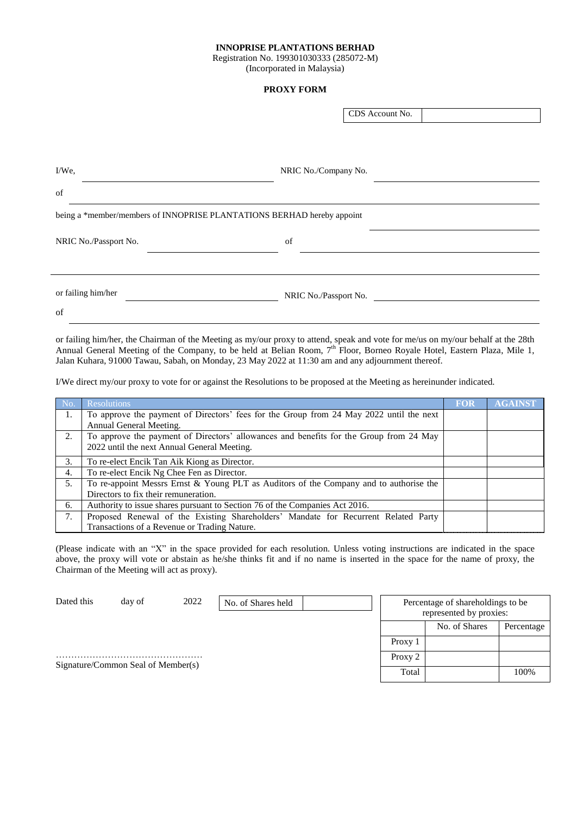## **INNOPRISE PLANTATIONS BERHAD**

Registration No. 199301030333 (285072-M)

(Incorporated in Malaysia)

## **PROXY FORM**

|                                                                        | CDS Account No.       |  |  |  |
|------------------------------------------------------------------------|-----------------------|--|--|--|
|                                                                        |                       |  |  |  |
| I/We,                                                                  | NRIC No./Company No.  |  |  |  |
| of                                                                     |                       |  |  |  |
| being a *member/members of INNOPRISE PLANTATIONS BERHAD hereby appoint |                       |  |  |  |
| NRIC No./Passport No.                                                  | of                    |  |  |  |
|                                                                        |                       |  |  |  |
| or failing him/her                                                     | NRIC No./Passport No. |  |  |  |
| of                                                                     |                       |  |  |  |

or failing him/her, the Chairman of the Meeting as my/our proxy to attend, speak and vote for me/us on my/our behalf at the 28th Annual General Meeting of the Company, to be held at Belian Room, 7<sup>th</sup> Floor, Borneo Royale Hotel, Eastern Plaza, Mile 1, Jalan Kuhara, 91000 Tawau, Sabah, on Monday, 23 May 2022 at 11:30 am and any adjournment thereof.

I/We direct my/our proxy to vote for or against the Resolutions to be proposed at the Meeting as hereinunder indicated.

| -NO | <b>Resolutions</b>                                                                      | <b>FOR</b> | <b>AGAINST</b> |
|-----|-----------------------------------------------------------------------------------------|------------|----------------|
| 1.  | To approve the payment of Directors' fees for the Group from 24 May 2022 until the next |            |                |
|     | Annual General Meeting.                                                                 |            |                |
| 2.  | To approve the payment of Directors' allowances and benefits for the Group from 24 May  |            |                |
|     | 2022 until the next Annual General Meeting.                                             |            |                |
| 3.  | To re-elect Encik Tan Aik Kiong as Director.                                            |            |                |
| 4.  | To re-elect Encik Ng Chee Fen as Director.                                              |            |                |
| 5.  | To re-appoint Messrs Ernst & Young PLT as Auditors of the Company and to authorise the  |            |                |
|     | Directors to fix their remuneration.                                                    |            |                |
| 6.  | Authority to issue shares pursuant to Section 76 of the Companies Act 2016.             |            |                |
| 7.  | Proposed Renewal of the Existing Shareholders' Mandate for Recurrent Related Party      |            |                |
|     | Transactions of a Revenue or Trading Nature.                                            |            |                |

(Please indicate with an "X" in the space provided for each resolution. Unless voting instructions are indicated in the space above, the proxy will vote or abstain as he/she thinks fit and if no name is inserted in the space for the name of proxy, the Chairman of the Meeting will act as proxy).

Dated this day of 2022 ………………………………………… Signature/Common Seal of Member(s) Percentage of shareholdings to be represented by proxies: No. of Shares Percentage Proxy 1 Proxy 2 Total 100% No. of Shares held